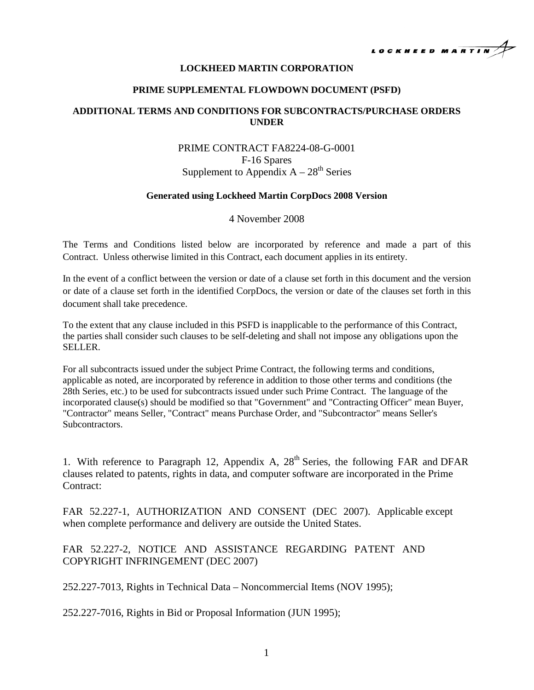

### **LOCKHEED MARTIN CORPORATION**

#### **PRIME SUPPLEMENTAL FLOWDOWN DOCUMENT (PSFD)**

## **ADDITIONAL TERMS AND CONDITIONS FOR SUBCONTRACTS/PURCHASE ORDERS UNDER**

# PRIME CONTRACT FA8224-08-G-0001 F-16 Spares Supplement to Appendix  $A - 28<sup>th</sup>$  Series

### **Generated using Lockheed Martin CorpDocs 2008 Version**

#### 4 November 2008

The Terms and Conditions listed below are incorporated by reference and made a part of this Contract. Unless otherwise limited in this Contract, each document applies in its entirety.

In the event of a conflict between the version or date of a clause set forth in this document and the version or date of a clause set forth in the identified CorpDocs, the version or date of the clauses set forth in this document shall take precedence.

To the extent that any clause included in this PSFD is inapplicable to the performance of this Contract, the parties shall consider such clauses to be self-deleting and shall not impose any obligations upon the SELLER.

For all subcontracts issued under the subject Prime Contract, the following terms and conditions, applicable as noted, are incorporated by reference in addition to those other terms and conditions (the 28th Series, etc.) to be used for subcontracts issued under such Prime Contract. The language of the incorporated clause(s) should be modified so that "Government" and "Contracting Officer" mean Buyer, "Contractor" means Seller, "Contract" means Purchase Order, and "Subcontractor" means Seller's Subcontractors.

1. With reference to Paragraph 12, Appendix A,  $28<sup>th</sup>$  Series, the following FAR and DFAR clauses related to patents, rights in data, and computer software are incorporated in the Prime Contract:

FAR 52.227-1, AUTHORIZATION AND CONSENT (DEC 2007). Applicable except when complete performance and delivery are outside the United States.

FAR 52.227-2, NOTICE AND ASSISTANCE REGARDING PATENT AND COPYRIGHT INFRINGEMENT (DEC 2007)

252.227-7013, Rights in Technical Data – Noncommercial Items (NOV 1995);

252.227-7016, Rights in Bid or Proposal Information (JUN 1995);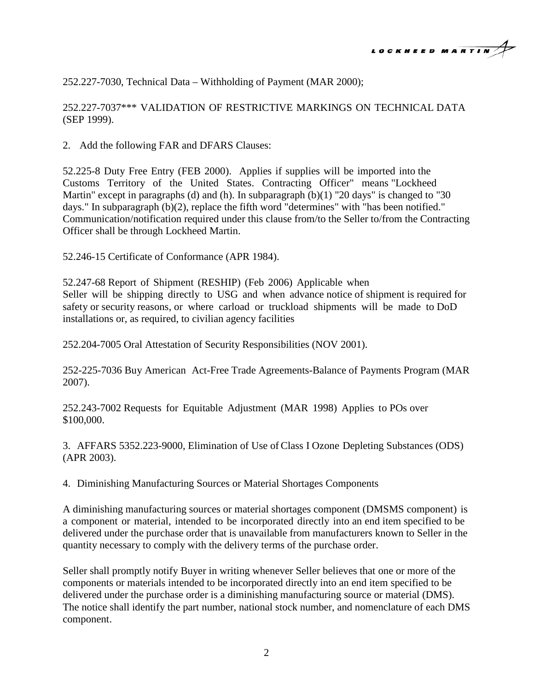

252.227-7030, Technical Data – Withholding of Payment (MAR 2000);

252.227-7037\*\*\* VALIDATION OF RESTRICTIVE MARKINGS ON TECHNICAL DATA (SEP 1999).

2. Add the following FAR and DFARS Clauses:

52.225-8 Duty Free Entry (FEB 2000). Applies if supplies will be imported into the Customs Territory of the United States. Contracting Officer" means "Lockheed Martin" except in paragraphs (d) and (h). In subparagraph (b)(1) "20 days" is changed to "30 days." In subparagraph (b)(2), replace the fifth word "determines" with "has been notified." Communication/notification required under this clause from/to the Seller to/from the Contracting Officer shall be through Lockheed Martin.

52.246-15 Certificate of Conformance (APR 1984).

52.247-68 Report of Shipment (RESHIP) (Feb 2006) Applicable when Seller will be shipping directly to USG and when advance notice of shipment is required for safety or security reasons, or where carload or truckload shipments will be made to DoD installations or, as required, to civilian agency facilities

252.204-7005 Oral Attestation of Security Responsibilities (NOV 2001).

252-225-7036 Buy American Act-Free Trade Agreements-Balance of Payments Program (MAR 2007).

252.243-7002 Requests for Equitable Adjustment (MAR 1998) Applies to POs over \$100,000.

3. AFFARS 5352.223-9000, Elimination of Use of Class I Ozone Depleting Substances (ODS) (APR 2003).

4. Diminishing Manufacturing Sources or Material Shortages Components

A diminishing manufacturing sources or material shortages component (DMSMS component) is a component or material, intended to be incorporated directly into an end item specified to be delivered under the purchase order that is unavailable from manufacturers known to Seller in the quantity necessary to comply with the delivery terms of the purchase order.

Seller shall promptly notify Buyer in writing whenever Seller believes that one or more of the components or materials intended to be incorporated directly into an end item specified to be delivered under the purchase order is a diminishing manufacturing source or material (DMS). The notice shall identify the part number, national stock number, and nomenclature of each DMS component.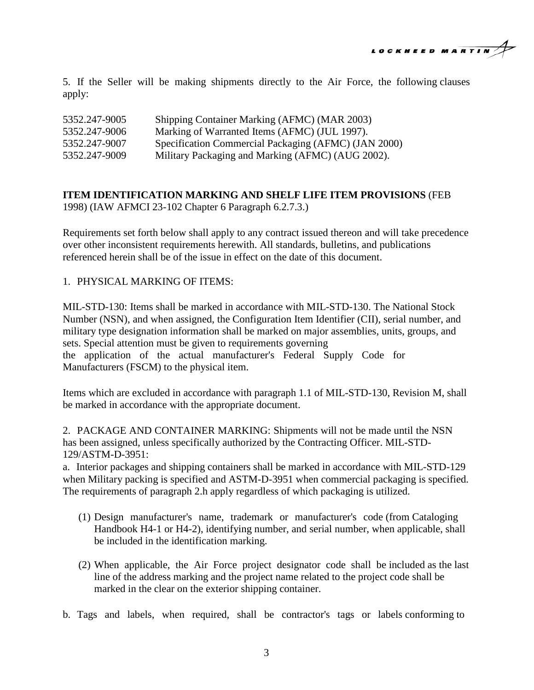

5. If the Seller will be making shipments directly to the Air Force, the following clauses apply:

| 5352.247-9005 | Shipping Container Marking (AFMC) (MAR 2003)         |
|---------------|------------------------------------------------------|
| 5352.247-9006 | Marking of Warranted Items (AFMC) (JUL 1997).        |
| 5352.247-9007 | Specification Commercial Packaging (AFMC) (JAN 2000) |
| 5352.247-9009 | Military Packaging and Marking (AFMC) (AUG 2002).    |

## **ITEM IDENTIFICATION MARKING AND SHELF LIFE ITEM PROVISIONS** (FEB 1998) (IAW AFMCI 23-102 Chapter 6 Paragraph 6.2.7.3.)

Requirements set forth below shall apply to any contract issued thereon and will take precedence over other inconsistent requirements herewith. All standards, bulletins, and publications referenced herein shall be of the issue in effect on the date of this document.

## 1. PHYSICAL MARKING OF ITEMS:

MIL-STD-130: Items shall be marked in accordance with MIL-STD-130. The National Stock Number (NSN), and when assigned, the Configuration Item Identifier (CII), serial number, and military type designation information shall be marked on major assemblies, units, groups, and sets. Special attention must be given to requirements governing the application of the actual manufacturer's Federal Supply Code for Manufacturers (FSCM) to the physical item.

Items which are excluded in accordance with paragraph 1.1 of MIL-STD-130, Revision M, shall be marked in accordance with the appropriate document.

2. PACKAGE AND CONTAINER MARKING: Shipments will not be made until the NSN has been assigned, unless specifically authorized by the Contracting Officer. MIL-STD-129/ASTM-D-3951:

a. Interior packages and shipping containers shall be marked in accordance with MIL-STD-129 when Military packing is specified and ASTM-D-3951 when commercial packaging is specified. The requirements of paragraph 2.h apply regardless of which packaging is utilized.

- (1) Design manufacturer's name, trademark or manufacturer's code (from Cataloging Handbook H4-1 or H4-2), identifying number, and serial number, when applicable, shall be included in the identification marking.
- (2) When applicable, the Air Force project designator code shall be included as the last line of the address marking and the project name related to the project code shall be marked in the clear on the exterior shipping container.
- b. Tags and labels, when required, shall be contractor's tags or labels conforming to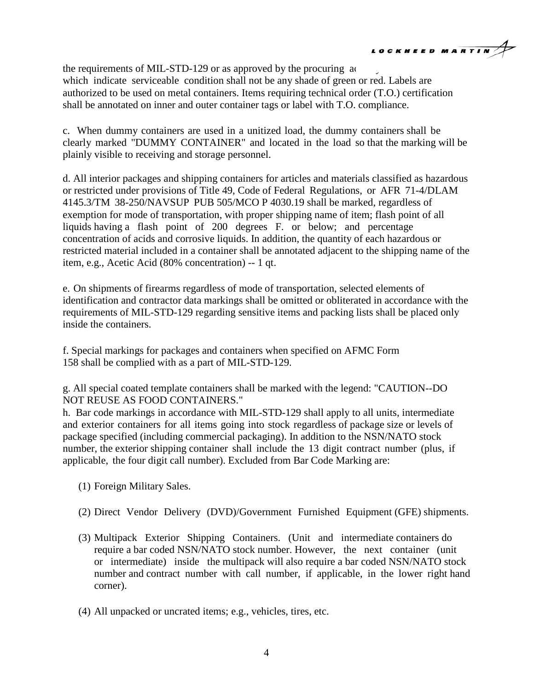

the requirements of MIL-STD-129 or as approved by the procuring  $\alpha$ . which indicate serviceable condition shall not be any shade of green or red. Labels are authorized to be used on metal containers. Items requiring technical order (T.O.) certification shall be annotated on inner and outer container tags or label with T.O. compliance.

c. When dummy containers are used in a unitized load, the dummy containers shall be clearly marked "DUMMY CONTAINER" and located in the load so that the marking will be plainly visible to receiving and storage personnel.

d. All interior packages and shipping containers for articles and materials classified as hazardous or restricted under provisions of Title 49, Code of Federal Regulations, or AFR 71-4/DLAM 4145.3/TM 38-250/NAVSUP PUB 505/MCO P 4030.19 shall be marked, regardless of exemption for mode of transportation, with proper shipping name of item; flash point of all liquids having a flash point of 200 degrees F. or below; and percentage concentration of acids and corrosive liquids. In addition, the quantity of each hazardous or restricted material included in a container shall be annotated adjacent to the shipping name of the item, e.g., Acetic Acid (80% concentration) -- 1 qt.

e. On shipments of firearms regardless of mode of transportation, selected elements of identification and contractor data markings shall be omitted or obliterated in accordance with the requirements of MIL-STD-129 regarding sensitive items and packing lists shall be placed only inside the containers.

f. Special markings for packages and containers when specified on AFMC Form 158 shall be complied with as a part of MIL-STD-129.

g. All special coated template containers shall be marked with the legend: "CAUTION--DO NOT REUSE AS FOOD CONTAINERS."

h. Bar code markings in accordance with MIL-STD-129 shall apply to all units, intermediate and exterior containers for all items going into stock regardless of package size or levels of package specified (including commercial packaging). In addition to the NSN/NATO stock number, the exterior shipping container shall include the 13 digit contract number (plus, if applicable, the four digit call number). Excluded from Bar Code Marking are:

- (1) Foreign Military Sales.
- (2) Direct Vendor Delivery (DVD)/Government Furnished Equipment (GFE) shipments.
- (3) Multipack Exterior Shipping Containers. (Unit and intermediate containers do require a bar coded NSN/NATO stock number. However, the next container (unit or intermediate) inside the multipack will also require a bar coded NSN/NATO stock number and contract number with call number, if applicable, in the lower right hand corner).
- (4) All unpacked or uncrated items; e.g., vehicles, tires, etc.